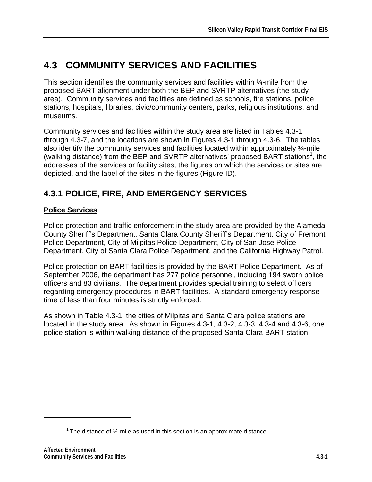# **4.3 COMMUNITY SERVICES AND FACILITIES**

This section identifies the community services and facilities within ¼-mile from the proposed BART alignment under both the BEP and SVRTP alternatives (the study area). Community services and facilities are defined as schools, fire stations, police stations, hospitals, libraries, civic/community centers, parks, religious institutions, and museums.

Community services and facilities within the study area are listed in Tables 4.3-1 through 4.3-7, and the locations are shown in Figures 4.3-1 through 4.3-6. The tables also identify the community services and facilities located within approximately 1/4-mile (walking distance) from the BEP and SVRTP alternatives' proposed BART stations<sup>1</sup>, the addresses of the services or facility sites, the figures on which the services or sites are depicted, and the label of the sites in the figures (Figure ID).

## **4.3.1 POLICE, FIRE, AND EMERGENCY SERVICES**

### **Police Services**

Police protection and traffic enforcement in the study area are provided by the Alameda County Sheriff's Department, Santa Clara County Sheriff's Department, City of Fremont Police Department, City of Milpitas Police Department, City of San Jose Police Department, City of Santa Clara Police Department, and the California Highway Patrol.

Police protection on BART facilities is provided by the BART Police Department. As of September 2006, the department has 277 police personnel, including 194 sworn police officers and 83 civilians. The department provides special training to select officers regarding emergency procedures in BART facilities. A standard emergency response time of less than four minutes is strictly enforced.

As shown in Table 4.3-1, the cities of Milpitas and Santa Clara police stations are located in the study area. As shown in Figures 4.3-1, 4.3-2, 4.3-3, 4.3-4 and 4.3-6, one police station is within walking distance of the proposed Santa Clara BART station.

1

 $1$ <sup>1</sup> The distance of  $\frac{1}{4}$ -mile as used in this section is an approximate distance.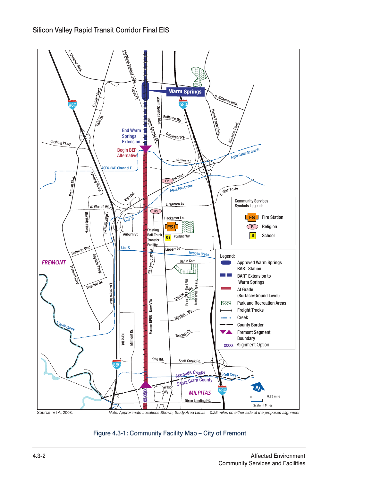

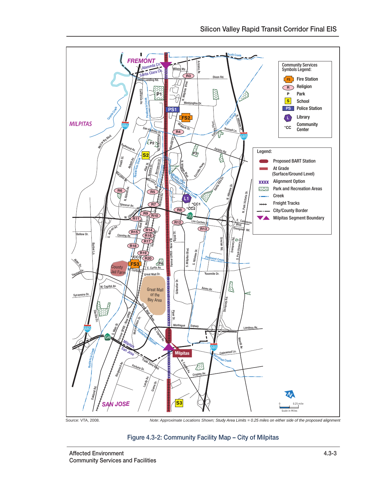

#### Figure 4.3-2: Community Facility Map – City of Milpitas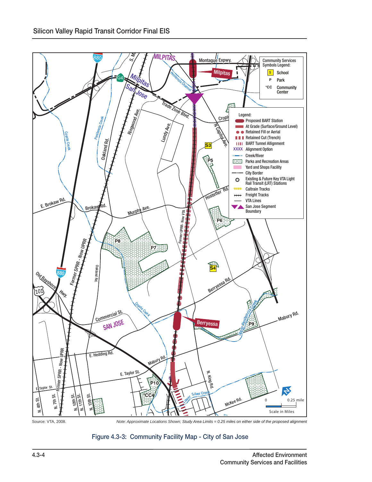



N. 24th St.

N. 28th St.

130

E. St. James St.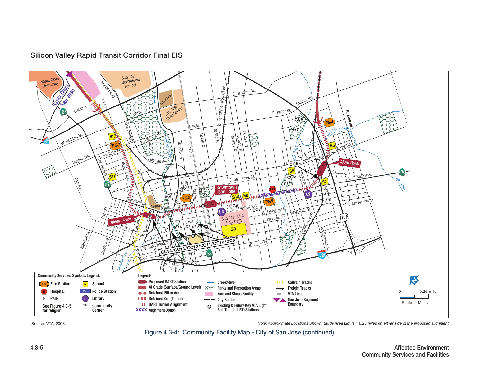

Source: VTA, 2008.

*Note: Approximate Locations Shown; Study Area Limits = 0.25 miles on either side of the proposed alignment*

Figure 4.3-4: Community Facility Map - City of San Jose (continued)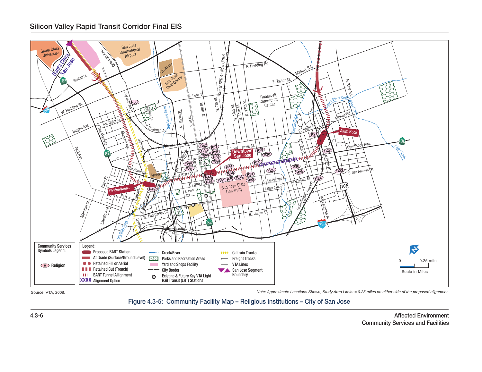#### Silicon Valley Rapid Transit Corridor Final EIS



Source: VTA, 2008.

*Note: Approximate Locations Shown; Study Area Limits = 0.25 miles on either side of the proposed alignment*

Figure 4.3-5: Community Facility Map – Religious Institutions – City of San Jose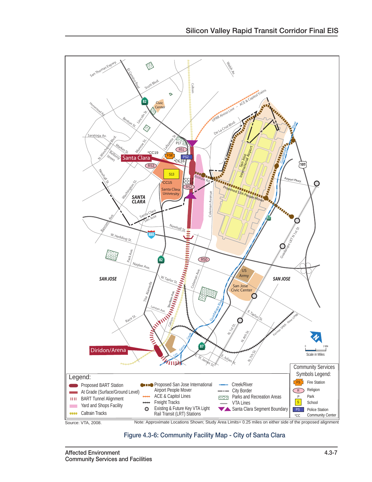

Source: VTA, 2008.

Note: Approximate Locations Shown; Study Area Limits= 0.25 miles on either side of the proposed alignment

Figure 4.3-6: Community Facility Map - City of Santa Clara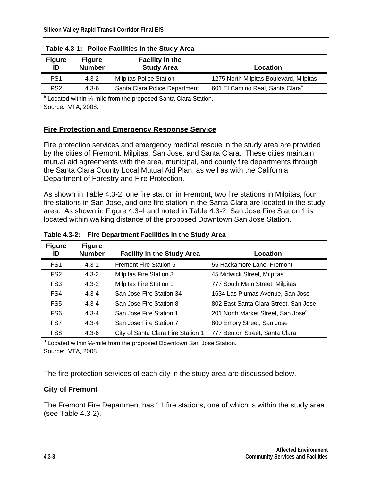| <b>Figure</b><br>ID | <b>Figure</b><br><b>Number</b> | <b>Facility in the</b><br><b>Study Area</b> | Location                                     |  |  |
|---------------------|--------------------------------|---------------------------------------------|----------------------------------------------|--|--|
| PS <sub>1</sub>     | $4.3 - 2$                      | <b>Milpitas Police Station</b>              | 1275 North Milpitas Boulevard, Milpitas      |  |  |
| PS <sub>2</sub>     | $4.3 - 6$                      | Santa Clara Police Department               | 601 El Camino Real, Santa Clara <sup>a</sup> |  |  |

 **Table 4.3-1: Police Facilities in the Study Area** 

<sup>a</sup> Located within 1⁄4-mile from the proposed Santa Clara Station. Source: VTA, 2008.

### **Fire Protection and Emergency Response Service**

Fire protection services and emergency medical rescue in the study area are provided by the cities of Fremont, Milpitas, San Jose, and Santa Clara. These cities maintain mutual aid agreements with the area, municipal, and county fire departments through the Santa Clara County Local Mutual Aid Plan, as well as with the California Department of Forestry and Fire Protection.

As shown in Table 4.3-2, one fire station in Fremont, two fire stations in Milpitas, four fire stations in San Jose, and one fire station in the Santa Clara are located in the study area. As shown in Figure 4.3-4 and noted in Table 4.3-2, San Jose Fire Station 1 is located within walking distance of the proposed Downtown San Jose Station.

| <b>Figure</b>   | <b>Figure</b> |                                    |                                                |
|-----------------|---------------|------------------------------------|------------------------------------------------|
| ID              | <b>Number</b> | <b>Facility in the Study Area</b>  | Location                                       |
| FS <sub>1</sub> | $4.3 - 1$     | <b>Fremont Fire Station 5</b>      | 55 Hackamore Lane, Fremont                     |
| FS <sub>2</sub> | $4.3 - 2$     | <b>Milpitas Fire Station 3</b>     | 45 Midwick Street, Milpitas                    |
| FS <sub>3</sub> | $4.3 - 2$     | <b>Milpitas Fire Station 1</b>     | 777 South Main Street, Milpitas                |
| FS4             | $4.3 - 4$     | San Jose Fire Station 34           | 1634 Las Plumas Avenue, San Jose               |
| FS <sub>5</sub> | $4.3 - 4$     | San Jose Fire Station 8            | 802 East Santa Clara Street, San Jose          |
| FS <sub>6</sub> | $4.3 - 4$     | San Jose Fire Station 1            | 201 North Market Street, San Jose <sup>a</sup> |
| FS7             | $4.3 - 4$     | San Jose Fire Station 7            | 800 Emory Street, San Jose                     |
| FS <sub>8</sub> | $4.3 - 6$     | City of Santa Clara Fire Station 1 | 777 Benton Street, Santa Clara                 |

**Table 4.3-2: Fire Department Facilities in the Study Area** 

<sup>a</sup> Located within ¼-mile from the proposed Downtown San Jose Station. Source: VTA, 2008.

The fire protection services of each city in the study area are discussed below.

### **City of Fremont**

The Fremont Fire Department has 11 fire stations, one of which is within the study area (see Table 4.3-2).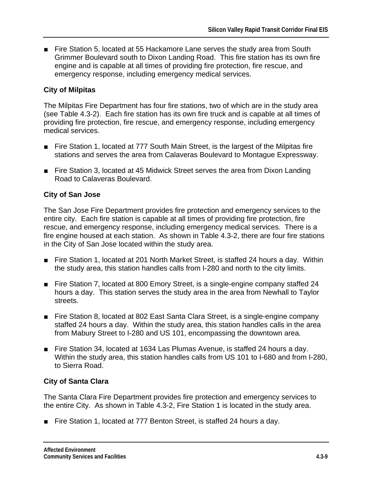■ Fire Station 5, located at 55 Hackamore Lane serves the study area from South Grimmer Boulevard south to Dixon Landing Road. This fire station has its own fire engine and is capable at all times of providing fire protection, fire rescue, and emergency response, including emergency medical services.

### **City of Milpitas**

The Milpitas Fire Department has four fire stations, two of which are in the study area (see Table 4.3-2). Each fire station has its own fire truck and is capable at all times of providing fire protection, fire rescue, and emergency response, including emergency medical services.

- Fire Station 1, located at 777 South Main Street, is the largest of the Milpitas fire stations and serves the area from Calaveras Boulevard to Montague Expressway.
- Fire Station 3, located at 45 Midwick Street serves the area from Dixon Landing Road to Calaveras Boulevard.

### **City of San Jose**

The San Jose Fire Department provides fire protection and emergency services to the entire city. Each fire station is capable at all times of providing fire protection, fire rescue, and emergency response, including emergency medical services. There is a fire engine housed at each station. As shown in Table 4.3-2, there are four fire stations in the City of San Jose located within the study area.

- Fire Station 1, located at 201 North Market Street, is staffed 24 hours a day. Within the study area, this station handles calls from I-280 and north to the city limits.
- Fire Station 7, located at 800 Emory Street, is a single-engine company staffed 24 hours a day. This station serves the study area in the area from Newhall to Taylor streets.
- Fire Station 8, located at 802 East Santa Clara Street, is a single-engine company staffed 24 hours a day. Within the study area, this station handles calls in the area from Mabury Street to I-280 and US 101, encompassing the downtown area.
- Fire Station 34, located at 1634 Las Plumas Avenue, is staffed 24 hours a day. Within the study area, this station handles calls from US 101 to I-680 and from I-280, to Sierra Road.

### **City of Santa Clara**

The Santa Clara Fire Department provides fire protection and emergency services to the entire City. As shown in Table 4.3-2, Fire Station 1 is located in the study area.

■ Fire Station 1, located at 777 Benton Street, is staffed 24 hours a day.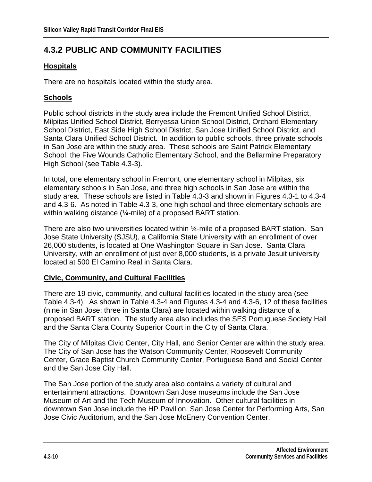## **4.3.2 PUBLIC AND COMMUNITY FACILITIES**

### **Hospitals**

There are no hospitals located within the study area.

### **Schools**

Public school districts in the study area include the Fremont Unified School District, Milpitas Unified School District, Berryessa Union School District, Orchard Elementary School District, East Side High School District, San Jose Unified School District, and Santa Clara Unified School District. In addition to public schools, three private schools in San Jose are within the study area. These schools are Saint Patrick Elementary School, the Five Wounds Catholic Elementary School, and the Bellarmine Preparatory High School (see Table 4.3-3).

In total, one elementary school in Fremont, one elementary school in Milpitas, six elementary schools in San Jose, and three high schools in San Jose are within the study area. These schools are listed in Table 4.3-3 and shown in Figures 4.3-1 to 4.3-4 and 4.3-6. As noted in Table 4.3-3, one high school and three elementary schools are within walking distance (¼-mile) of a proposed BART station.

There are also two universities located within ¼-mile of a proposed BART station. San Jose State University (SJSU), a California State University with an enrollment of over 26,000 students, is located at One Washington Square in San Jose. Santa Clara University, with an enrollment of just over 8,000 students, is a private Jesuit university located at 500 El Camino Real in Santa Clara.

### **Civic, Community, and Cultural Facilities**

There are 19 civic, community, and cultural facilities located in the study area (see Table 4.3-4). As shown in Table 4.3-4 and Figures 4.3-4 and 4.3-6, 12 of these facilities (nine in San Jose; three in Santa Clara) are located within walking distance of a proposed BART station. The study area also includes the SES Portuguese Society Hall and the Santa Clara County Superior Court in the City of Santa Clara.

The City of Milpitas Civic Center, City Hall, and Senior Center are within the study area. The City of San Jose has the Watson Community Center, Roosevelt Community Center, Grace Baptist Church Community Center, Portuguese Band and Social Center and the San Jose City Hall.

The San Jose portion of the study area also contains a variety of cultural and entertainment attractions. Downtown San Jose museums include the San Jose Museum of Art and the Tech Museum of Innovation. Other cultural facilities in downtown San Jose include the HP Pavilion, San Jose Center for Performing Arts, San Jose Civic Auditorium, and the San Jose McEnery Convention Center.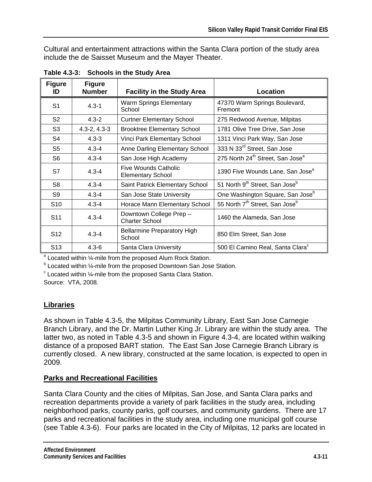Cultural and entertainment attractions within the Santa Clara portion of the study area include the de Saisset Museum and the Mayer Theater.

| <b>Figure</b><br>ID | <b>Figure</b><br><b>Number</b> | <b>Facility in the Study Area</b>                | Location                                                 |
|---------------------|--------------------------------|--------------------------------------------------|----------------------------------------------------------|
| S <sub>1</sub>      | $4.3 - 1$                      | <b>Warm Springs Elementary</b><br>School         | 47370 Warm Springs Boulevard,<br>Fremont                 |
| S <sub>2</sub>      | $4.3 - 2$                      | <b>Curtner Elementary School</b>                 | 275 Redwood Avenue, Milpitas                             |
| S <sub>3</sub>      | $4.3 - 2, 4.3 - 3$             | <b>Brooktree Elementary School</b>               | 1781 Olive Tree Drive, San Jose                          |
| S4                  | $4.3 - 3$                      | Vinci Park Elementary School                     | 1311 Vinci Park Way, San Jose                            |
| S <sub>5</sub>      | $4.3 - 4$                      | Anne Darling Elementary School                   | 333 N 33 <sup>rd</sup> Street, San Jose                  |
| S6                  | $4.3 - 4$                      | San Jose High Academy                            | 275 North 24 <sup>th</sup> Street, San Jose <sup>a</sup> |
| S7                  | $4.3 - 4$                      | Five Wounds Catholic<br><b>Elementary School</b> | 1390 Five Wounds Lane, San Jose <sup>a</sup>             |
| S <sub>8</sub>      | $4.3 - 4$                      | Saint Patrick Elementary School                  | 51 North 9 <sup>th</sup> Street, San Jose <sup>b</sup>   |
| S <sub>9</sub>      | $4.3 - 4$                      | San Jose State University                        | One Washington Square, San Jose <sup>b</sup>             |
| S <sub>10</sub>     | $4.3 - 4$                      | Horace Mann Elementary School                    | 55 North 7 <sup>th</sup> Street, San Jose <sup>b</sup>   |
| S <sub>11</sub>     | $4.3 - 4$                      | Downtown College Prep -<br><b>Charter School</b> | 1460 the Alameda, San Jose                               |
| S <sub>12</sub>     | $4.3 - 4$                      | <b>Bellarmine Preparatory High</b><br>School     | 850 Elm Street, San Jose                                 |
| S <sub>13</sub>     | $4.3 - 6$                      | Santa Clara University                           | 500 El Camino Real, Santa Clara <sup>c</sup>             |

**Table 4.3-3: Schools in the Study Area** 

a Located within 1/<sub>4</sub>-mile from the proposed Alum Rock Station.

<sup>b</sup> Located within ¼-mile from the proposed Downtown San Jose Station.

<sup>c</sup> Located within 1⁄4-mile from the proposed Santa Clara Station.

Source: VTA, 2008.

### **Libraries**

As shown in Table 4.3-5, the Milpitas Community Library, East San Jose Carnegie Branch Library, and the Dr. Martin Luther King Jr. Library are within the study area. The latter two, as noted in Table 4.3-5 and shown in Figure 4.3-4, are located within walking distance of a proposed BART station. The East San Jose Carnegie Branch Library is currently closed. A new library, constructed at the same location, is expected to open in 2009.

### **Parks and Recreational Facilities**

Santa Clara County and the cities of Milpitas, San Jose, and Santa Clara parks and recreation departments provide a variety of park facilities in the study area, including neighborhood parks, county parks, golf courses, and community gardens. There are 17 parks and recreational facilities in the study area, including one municipal golf course (see Table 4.3-6). Four parks are located in the City of Milpitas, 12 parks are located in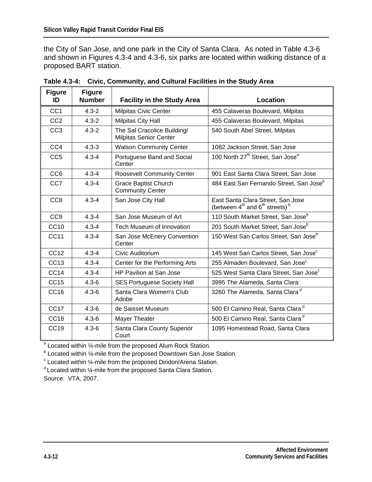the City of San Jose, and one park in the City of Santa Clara. As noted in Table 4.3-6 and shown in Figures 4.3-4 and 4.3-6, six parks are located within walking distance of a proposed BART station.

| <b>Figure</b><br>ID | <b>Figure</b><br><b>Number</b> | <b>Facility in the Study Area</b>                            | <b>Location</b>                                                                     |
|---------------------|--------------------------------|--------------------------------------------------------------|-------------------------------------------------------------------------------------|
| CC <sub>1</sub>     | $4.3 - 2$                      | <b>Milpitas Civic Center</b>                                 | 455 Calaveras Boulevard, Milpitas                                                   |
| CC <sub>2</sub>     | $4.3 - 2$                      | Milpitas City Hall                                           | 455 Calaveras Boulevard, Milpitas                                                   |
| CC <sub>3</sub>     | $4.3 - 2$                      | The Sal Cracolice Building/<br><b>Milpitas Senior Center</b> | 540 South Abel Street, Milpitas                                                     |
| CC4                 | $4.3 - 3$                      | <b>Watson Community Center</b>                               | 1082 Jackson Street, San Jose                                                       |
| CC <sub>5</sub>     | $4.3 - 4$                      | Portuguese Band and Social<br>Center                         | 100 North 27 <sup>th</sup> Street, San Jose <sup>a</sup>                            |
| CC <sub>6</sub>     | $4.3 - 4$                      | <b>Roosevelt Community Center</b>                            | 901 East Santa Clara Street, San Jose                                               |
| CC7                 | $4.3 - 4$                      | <b>Grace Baptist Church</b><br><b>Community Center</b>       | 484 East San Fernando Street, San Jose <sup>b</sup>                                 |
| CC <sub>8</sub>     | $4.3 - 4$                      | San Jose City Hall                                           | East Santa Clara Street, San Jose<br>(between $4th$ and $6th$ streets) <sup>b</sup> |
| CC <sub>9</sub>     | $4.3 - 4$                      | San Jose Museum of Art                                       | 110 South Market Street, San Jose <sup>b</sup>                                      |
| <b>CC10</b>         | $4.3 - 4$                      | Tech Museum of Innovation                                    | 201 South Market Street, San Jose <sup>b</sup>                                      |
| <b>CC11</b>         | $4.3 - 4$                      | San Jose McEnery Convention<br>Center                        | 150 West San Carlos Street, San Jose <sup>b</sup>                                   |
| CC12                | $4.3 - 4$                      | Civic Auditorium                                             | 145 West San Carlos Street, San Jose <sup>c</sup>                                   |
| CC13                | $4.3 - 4$                      | Center for the Performing Arts                               | 255 Almaden Boulevard, San Jose <sup>c</sup>                                        |
| CC <sub>14</sub>    | $4.3 - 4$                      | <b>HP Pavilion at San Jose</b>                               | 525 West Santa Clara Street, San Jose <sup>c</sup>                                  |
| CC15                | $4.3 - 6$                      | <b>SES Portuguese Society Hall</b>                           | 3995 The Alameda, Santa Clara                                                       |
| CC <sub>16</sub>    | $4.3 - 6$                      | Santa Clara Women's Club<br>Adobe                            | 3260 The Alameda, Santa Clara <sup>d</sup>                                          |
| CC <sub>17</sub>    | $4.3 - 6$                      | de Saisset Museum                                            | 500 El Camino Real, Santa Clara <sup>d</sup>                                        |
| CC <sub>18</sub>    | $4.3 - 6$                      | Mayer Theater                                                | 500 El Camino Real, Santa Clara <sup>d</sup>                                        |
| CC <sub>19</sub>    | $4.3 - 6$                      | Santa Clara County Superior<br>Court                         | 1095 Homestead Road, Santa Clara                                                    |

| Table 4.3-4: Civic, Community, and Cultural Facilities in the Study Area |  |  |
|--------------------------------------------------------------------------|--|--|
|                                                                          |  |  |

<sup>a</sup> Located within 1/<sub>4</sub>-mile from the proposed Alum Rock Station.

<sup>b</sup> Located within ¼-mile from the proposed Downtown San Jose Station.

 $\textdegree$  Located within  $\textdegree{\textdegree}$ -mile from the proposed Diridon/Arena Station.

<sup>d.</sup>Located within ¼-mile from the proposed Santa Clara Station. Source: VTA, 2007.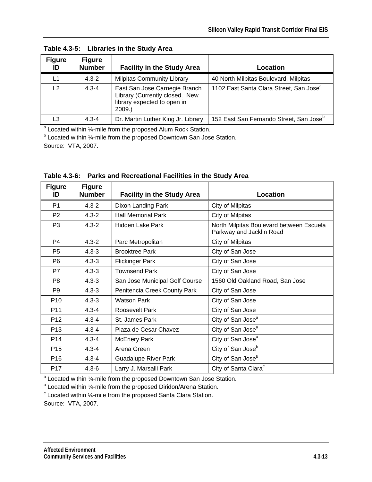| <b>Figure</b><br>ID | <b>Figure</b><br><b>Number</b> | <b>Facility in the Study Area</b>                                                                       | Location                                            |
|---------------------|--------------------------------|---------------------------------------------------------------------------------------------------------|-----------------------------------------------------|
| L1                  | $4.3 - 2$                      | <b>Milpitas Community Library</b>                                                                       | 40 North Milpitas Boulevard, Milpitas               |
| L <sub>2</sub>      | $4.3 - 4$                      | East San Jose Carnegie Branch<br>Library (Currently closed. New<br>library expected to open in<br>2009. | 1102 East Santa Clara Street, San Jose <sup>a</sup> |
| L3                  | $4.3 - 4$                      | Dr. Martin Luther King Jr. Library                                                                      | 152 East San Fernando Street, San Jose <sup>b</sup> |

**Table 4.3-5: Libraries in the Study Area** 

a Located within 1/<sub>4</sub>-mile from the proposed Alum Rock Station.

<sup>b</sup> Located within ¼-mile from the proposed Downtown San Jose Station.

Source: VTA, 2007.

| <b>Figure</b><br>ID | <b>Figure</b><br><b>Number</b> | <b>Facility in the Study Area</b> | Location                                                             |
|---------------------|--------------------------------|-----------------------------------|----------------------------------------------------------------------|
| P <sub>1</sub>      | $4.3 - 2$                      | Dixon Landing Park                | City of Milpitas                                                     |
| P <sub>2</sub>      | $4.3 - 2$                      | <b>Hall Memorial Park</b>         | City of Milpitas                                                     |
| P <sub>3</sub>      | $4.3 - 2$                      | Hidden Lake Park                  | North Milpitas Boulevard between Escuela<br>Parkway and Jacklin Road |
| P <sub>4</sub>      | $4.3 - 2$                      | Parc Metropolitan                 | City of Milpitas                                                     |
| P <sub>5</sub>      | $4.3 - 3$                      | <b>Brooktree Park</b>             | City of San Jose                                                     |
| P <sub>6</sub>      | $4.3 - 3$                      | <b>Flickinger Park</b>            | City of San Jose                                                     |
| P7                  | $4.3 - 3$                      | <b>Townsend Park</b>              | City of San Jose                                                     |
| P <sub>8</sub>      | $4.3 - 3$                      | San Jose Municipal Golf Course    | 1560 Old Oakland Road, San Jose                                      |
| P <sub>9</sub>      | $4.3 - 3$                      | Penitencia Creek County Park      | City of San Jose                                                     |
| P <sub>10</sub>     | $4.3 - 3$                      | <b>Watson Park</b>                | City of San Jose                                                     |
| P <sub>11</sub>     | $4.3 - 4$                      | Roosevelt Park                    | City of San Jose                                                     |
| P <sub>12</sub>     | $4.3 - 4$                      | St. James Park                    | City of San Jose <sup>a</sup>                                        |
| P <sub>13</sub>     | $4.3 - 4$                      | Plaza de Cesar Chavez             | City of San Jose <sup>a</sup>                                        |
| P <sub>14</sub>     | $4.3 - 4$                      | <b>McEnery Park</b>               | City of San Jose <sup>a</sup>                                        |
| P <sub>15</sub>     | $4.3 - 4$                      | Arena Green                       | City of San Jose <sup>b</sup>                                        |
| P <sub>16</sub>     | $4.3 - 4$                      | <b>Guadalupe River Park</b>       | City of San Jose <sup>b</sup>                                        |
| P <sub>17</sub>     | $4.3 - 6$                      | Larry J. Marsalli Park            | City of Santa Clara <sup>c</sup>                                     |

**Table 4.3-6: Parks and Recreational Facilities in the Study Area** 

<sup>a</sup> Located within 1/<sub>4</sub>-mile from the proposed Downtown San Jose Station.

<sup>a</sup> Located within ¼-mile from the proposed Diridon/Arena Station.<br><sup>c</sup> Located within 1/ mile from the proposed Sente Clare Station.

Located within ¼-mile from the proposed Santa Clara Station.

Source: VTA, 2007.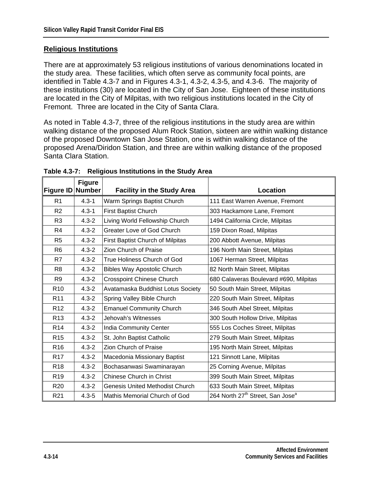### **Religious Institutions**

There are at approximately 53 religious institutions of various denominations located in the study area. These facilities, which often serve as community focal points, are identified in Table 4.3-7 and in Figures 4.3-1, 4.3-2, 4.3-5, and 4.3-6. The majority of these institutions (30) are located in the City of San Jose. Eighteen of these institutions are located in the City of Milpitas, with two religious institutions located in the City of Fremont. Three are located in the City of Santa Clara.

As noted in Table 4.3-7, three of the religious institutions in the study area are within walking distance of the proposed Alum Rock Station, sixteen are within walking distance of the proposed Downtown San Jose Station, one is within walking distance of the proposed Arena/Diridon Station, and three are within walking distance of the proposed Santa Clara Station.

| <b>Figure ID</b> | <b>Figure</b><br><b>Number</b> | <b>Facility in the Study Area</b>      | <b>Location</b>                                          |
|------------------|--------------------------------|----------------------------------------|----------------------------------------------------------|
|                  |                                |                                        |                                                          |
| R1               | $4.3 - 1$                      | Warm Springs Baptist Church            | 111 East Warren Avenue, Fremont                          |
| R <sub>2</sub>   | $4.3 - 1$                      | <b>First Baptist Church</b>            | 303 Hackamore Lane, Fremont                              |
| R <sub>3</sub>   | $4.3 - 2$                      | Living World Fellowship Church         | 1494 California Circle, Milpitas                         |
| R4               | $4.3 - 2$                      | Greater Love of God Church             | 159 Dixon Road, Milpitas                                 |
| R <sub>5</sub>   | $4.3 - 2$                      | First Baptist Church of Milpitas       | 200 Abbott Avenue, Milpitas                              |
| R <sub>6</sub>   | $4.3 - 2$                      | <b>Zion Church of Praise</b>           | 196 North Main Street, Milpitas                          |
| R7               | $4.3 - 2$                      | True Holiness Church of God            | 1067 Herman Street, Milpitas                             |
| R <sub>8</sub>   | $4.3 - 2$                      | <b>Bibles Way Apostolic Church</b>     | 82 North Main Street, Milpitas                           |
| R <sub>9</sub>   | $4.3 - 2$                      | <b>Crosspoint Chinese Church</b>       | 680 Calaveras Boulevard #690, Milpitas                   |
| R <sub>10</sub>  | $4.3 - 2$                      | Avatamaska Buddhist Lotus Society      | 50 South Main Street, Milpitas                           |
| R <sub>11</sub>  | $4.3 - 2$                      | Spring Valley Bible Church             | 220 South Main Street, Milpitas                          |
| R <sub>12</sub>  | $4.3 - 2$                      | <b>Emanuel Community Church</b>        | 346 South Abel Street, Milpitas                          |
| R <sub>13</sub>  | $4.3 - 2$                      | Jehovah's Witnesses                    | 300 South Hollow Drive, Milpitas                         |
| R <sub>14</sub>  | $4.3 - 2$                      | <b>India Community Center</b>          | 555 Los Coches Street, Milpitas                          |
| R <sub>15</sub>  | $4.3 - 2$                      | St. John Baptist Catholic              | 279 South Main Street, Milpitas                          |
| R <sub>16</sub>  | $4.3 - 2$                      | Zion Church of Praise                  | 195 North Main Street, Milpitas                          |
| R <sub>17</sub>  | $4.3 - 2$                      | Macedonia Missionary Baptist           | 121 Sinnott Lane, Milpitas                               |
| R <sub>18</sub>  | $4.3 - 2$                      | Bochasanwasi Swaminarayan              | 25 Corning Avenue, Milpitas                              |
| R <sub>19</sub>  | $4.3 - 2$                      | <b>Chinese Church in Christ</b>        | 399 South Main Street, Milpitas                          |
| R <sub>20</sub>  | $4.3 - 2$                      | <b>Genesis United Methodist Church</b> | 633 South Main Street, Milpitas                          |
| R <sub>21</sub>  | $4.3 - 5$                      | Mathis Memorial Church of God          | 264 North 27 <sup>th</sup> Street, San Jose <sup>a</sup> |

#### **Table 4.3-7: Religious Institutions in the Study Area**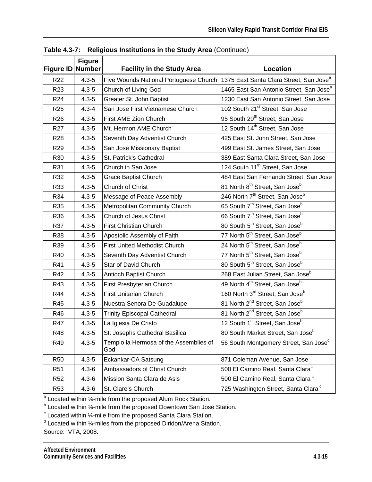| <b>Figure ID</b> | <b>Figure</b><br><b>Number</b> | <b>Facility in the Study Area</b>             | <b>Location</b>                                         |
|------------------|--------------------------------|-----------------------------------------------|---------------------------------------------------------|
| R22              | $4.3 - 5$                      | Five Wounds National Portuguese Church        | 1375 East Santa Clara Street, San Jose <sup>a</sup>     |
| R <sub>23</sub>  | $4.3 - 5$                      | Church of Living God                          | 1465 East San Antonio Street, San Jose <sup>a</sup>     |
| R <sub>24</sub>  | $4.3 - 5$                      | Greater St. John Baptist                      | 1230 East San Antonio Street, San Jose                  |
| R <sub>25</sub>  | $4.3 - 4$                      | San Jose First Vietnamese Church              | 102 South 21 <sup>st</sup> Street, San Jose             |
| R <sub>26</sub>  | $4.3 - 5$                      | First AME Zion Church                         | 95 South 20 <sup>th</sup> Street, San Jose              |
| R <sub>27</sub>  | $4.3 - 5$                      | Mt. Hermon AME Church                         | 12 South 14 <sup>th</sup> Street, San Jose              |
| R <sub>28</sub>  | $4.3 - 5$                      | Seventh Day Adventist Church                  | 425 East St. John Street, San Jose                      |
| R <sub>29</sub>  | $4.3 - 5$                      | San Jose Missionary Baptist                   | 499 East St. James Street, San Jose                     |
| R30              | $4.3 - 5$                      | St. Patrick's Cathedral                       | 389 East Santa Clara Street, San Jose                   |
| R31              | $4.3 - 5$                      | Church in San Jose                            | 124 South 11 <sup>th</sup> Street, San Jose             |
| R32              | $4.3 - 5$                      | <b>Grace Baptist Church</b>                   | 484 East San Fernando Street, San Jose                  |
| R33              | $4.3 - 5$                      | Church of Christ                              | 81 North 8 <sup>th</sup> Street, San Jose <sup>b</sup>  |
| R34              | $4.3 - 5$                      | Message of Peace Assembly                     | 246 North 7 <sup>th</sup> Street, San Jose <sup>b</sup> |
| R35              | $4.3 - 5$                      | Metropolitan Community Church                 | 65 South 7 <sup>th</sup> Street, San Jose <sup>b</sup>  |
| R36              | $4.3 - 5$                      | <b>Church of Jesus Christ</b>                 | 66 South 7 <sup>th</sup> Street, San Jose <sup>b</sup>  |
| R37              | $4.3 - 5$                      | First Christian Church                        | 80 South 5 <sup>th</sup> Street, San Jose <sup>b</sup>  |
| <b>R38</b>       | $4.3 - 5$                      | Apostolic Assembly of Faith                   | 77 North 5 <sup>th</sup> Street, San Jose <sup>b</sup>  |
| R39              | $4.3 - 5$                      | <b>First United Methodist Church</b>          | 24 North 5 <sup>th</sup> Street, San Jose <sup>b</sup>  |
| R40              | $4.3 - 5$                      | Seventh Day Adventist Church                  | 77 North 5 <sup>th</sup> Street, San Jose <sup>b</sup>  |
| R41              | $4.3 - 5$                      | Star of David Church                          | 80 South 5 <sup>th</sup> Street, San Jose <sup>b</sup>  |
| R42              | $4.3 - 5$                      | Antioch Baptist Church                        | 268 East Julian Street, San Jose <sup>b</sup>           |
| R43              | $4.3 - 5$                      | First Presbyterian Church                     | 49 North 4 <sup>th</sup> Street, San Jose <sup>b</sup>  |
| R44              | $4.3 - 5$                      | <b>First Unitarian Church</b>                 | 160 North 3 <sup>rd</sup> Street, San Jose <sup>b</sup> |
| R45              | $4.3 - 5$                      | Nuestra Senora De Guadalupe                   | 81 North 2 <sup>nd</sup> Street, San Jose <sup>b</sup>  |
| R46              | $4.3 - 5$                      | <b>Trinity Episcopal Cathedral</b>            | 81 North 2 <sup>nd</sup> Street, San Jose <sup>b</sup>  |
| R47              | $4.3 - 5$                      | La Iglesia De Cristo                          | 12 South 1 <sup>st</sup> Street, San Jose <sup>b</sup>  |
| R48              | $4.3 - 5$                      | St. Josephs Cathedral Basilica                | 80 South Market Street, San Jose <sup>b</sup>           |
| R49              | $4.3 - 5$                      | Templo la Hermosa of the Assemblies of<br>God | 56 South Montgomery Street, San Josed                   |
| <b>R50</b>       | $4.3 - 5$                      | Eckankar-CA Satsung                           | 871 Coleman Avenue, San Jose                            |
| R <sub>51</sub>  | $4.3 - 6$                      | Ambassadors of Christ Church                  | 500 El Camino Real, Santa Clara <sup>c</sup>            |
| R <sub>52</sub>  | $4.3 - 6$                      | Mission Santa Clara de Asis                   | 500 El Camino Real, Santa Clara <sup>c</sup>            |
| R53              | $4.3 - 6$                      | St. Clare's Church                            | 725 Washington Street, Santa Clara <sup>c</sup>         |

**Table 4.3-7: Religious Institutions in the Study Area** (Continued)

a Located within 1/<sub>4</sub>-mile from the proposed Alum Rock Station.

<sup>b</sup> Located within ¼-mile from the proposed Downtown San Jose Station.

 $\textdegree$  Located within  $\frac{1}{4}$ -mile from the proposed Santa Clara Station.

<sup>d</sup> Located within ¼-miles from the proposed Diridon/Arena Station.

Source: VTA, 2008.